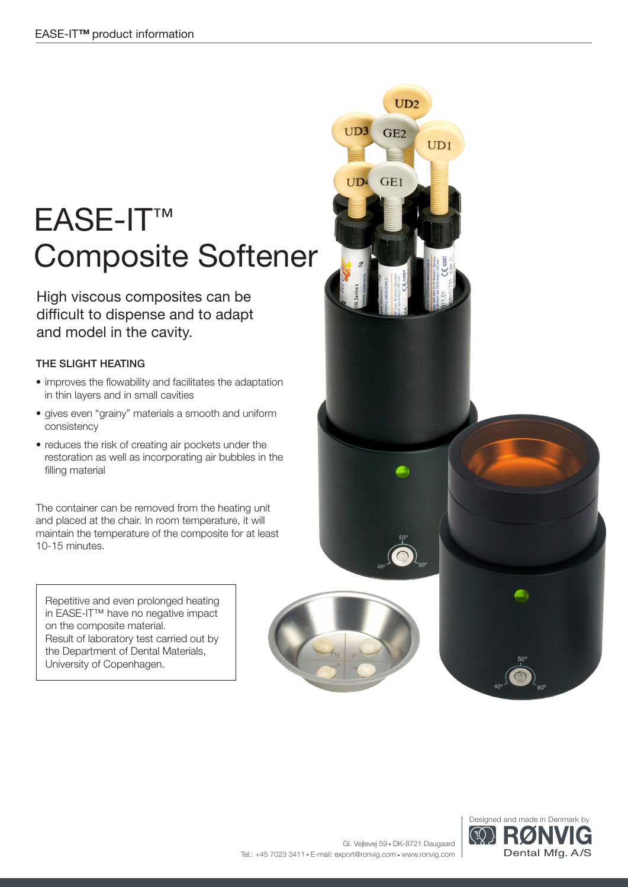## EASE-IT™ Composite Softener

High viscous composites can be difficult to dispense and to adapt and model in the cavity.

### THE SLIGHT HEATING

- improves the flowability and facilitates the adaptation in thin layers and in small cavities
- gives even "grainy" materials a smooth and uniform consistency
- reduces the risk of creating air pockets under the restoration as well as incorporating air bubbles in the filling material

The container can be removed from the heating unit and placed at the chair. In room temperature, it will maintain the temperature of the composite for at least 10-15 minutes.

Repetitive and even prolonged heating in EASE-IT™ have no negative impact on the composite material. Result of laboratory test carried out by the Department of Dental Materials, University of Copenhagen.





 $UD2$ 

 $UD3$ 

**IID4**